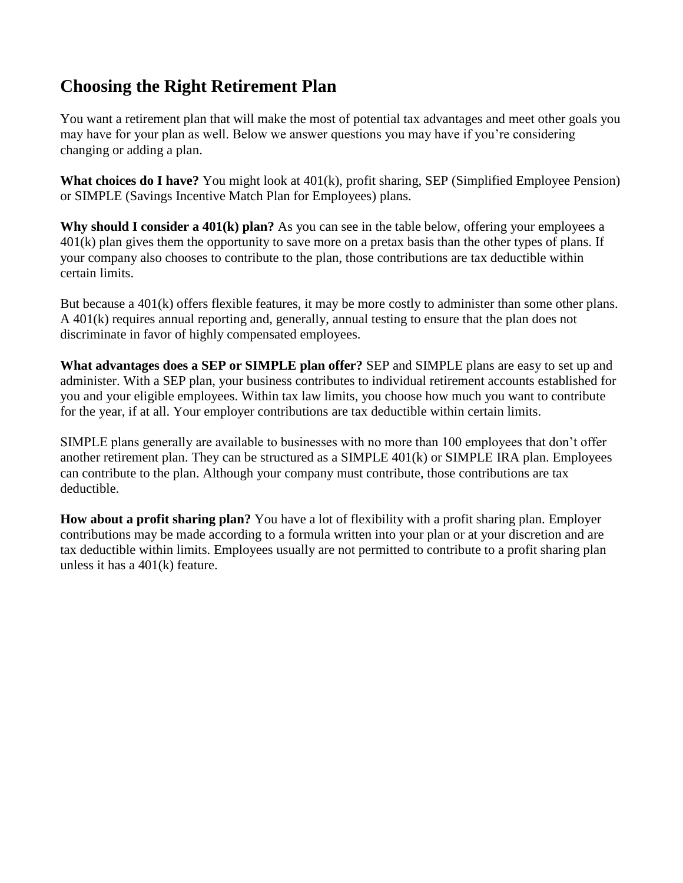## **Choosing the Right Retirement Plan**

You want a retirement plan that will make the most of potential tax advantages and meet other goals you may have for your plan as well. Below we answer questions you may have if you're considering changing or adding a plan.

**What choices do I have?** You might look at 401(k), profit sharing, SEP (Simplified Employee Pension) or SIMPLE (Savings Incentive Match Plan for Employees) plans.

**Why should I consider a 401(k) plan?** As you can see in the table below, offering your employees a 401(k) plan gives them the opportunity to save more on a pretax basis than the other types of plans. If your company also chooses to contribute to the plan, those contributions are tax deductible within certain limits.

But because a 401(k) offers flexible features, it may be more costly to administer than some other plans. A 401(k) requires annual reporting and, generally, annual testing to ensure that the plan does not discriminate in favor of highly compensated employees.

**What advantages does a SEP or SIMPLE plan offer?** SEP and SIMPLE plans are easy to set up and administer. With a SEP plan, your business contributes to individual retirement accounts established for you and your eligible employees. Within tax law limits, you choose how much you want to contribute for the year, if at all. Your employer contributions are tax deductible within certain limits.

SIMPLE plans generally are available to businesses with no more than 100 employees that don't offer another retirement plan. They can be structured as a SIMPLE 401(k) or SIMPLE IRA plan. Employees can contribute to the plan. Although your company must contribute, those contributions are tax deductible.

**How about a profit sharing plan?** You have a lot of flexibility with a profit sharing plan. Employer contributions may be made according to a formula written into your plan or at your discretion and are tax deductible within limits. Employees usually are not permitted to contribute to a profit sharing plan unless it has a 401(k) feature.